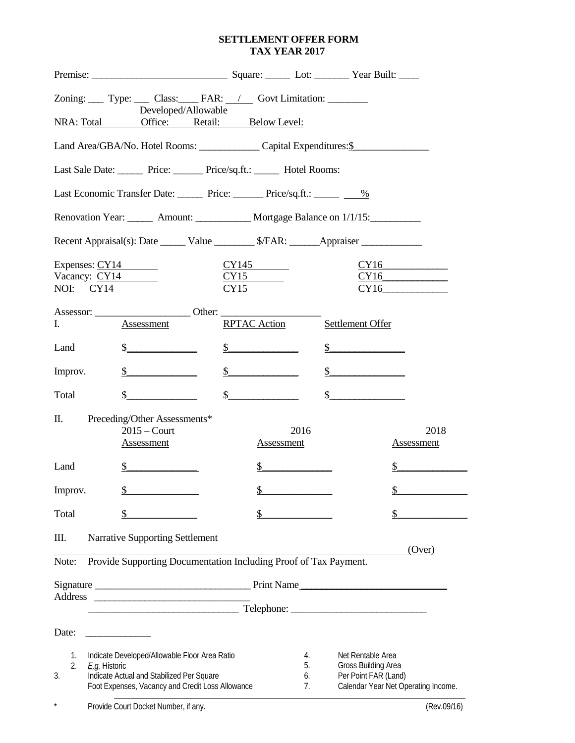#### **SETTLEMENT OFFER FORM TAX YEAR 2017**

| Zoning: Type: Class: FAR: / Govt Limitation:<br>Developed/Allowable                 |                                                                                               |                                           |                                                             |
|-------------------------------------------------------------------------------------|-----------------------------------------------------------------------------------------------|-------------------------------------------|-------------------------------------------------------------|
| NRA: Total Office: Retail: Below Level:                                             |                                                                                               |                                           |                                                             |
| Land Area/GBA/No. Hotel Rooms: Capital Expenditures: \$                             |                                                                                               |                                           |                                                             |
| Last Sale Date: Price: Price/sq.ft.: Hotel Rooms:                                   |                                                                                               |                                           |                                                             |
| Last Economic Transfer Date: Price: Price: Price/sq.ft.: 1694                       |                                                                                               |                                           |                                                             |
| Renovation Year: _______ Amount: ____________ Mortgage Balance on 1/1/15:           |                                                                                               |                                           |                                                             |
| Recent Appraisal(s): Date _______ Value _________ \$/FAR: ______Appraiser ________  |                                                                                               |                                           |                                                             |
|                                                                                     | Expenses: $CY14$                                                                              | CY145<br>CY15                             | CY16<br>CY16                                                |
|                                                                                     | NOI: $CY14$                                                                                   | CY15                                      | CY16                                                        |
|                                                                                     |                                                                                               |                                           |                                                             |
| Ι.                                                                                  | Assessment                                                                                    | <b>RPTAC Action</b>                       | Settlement Offer                                            |
| Land                                                                                | $\frac{1}{2}$                                                                                 | $\frac{\S_{\text{max}}}{\S_{\text{max}}}$ | $\frac{1}{2}$                                               |
| Improv.                                                                             | $\mathbb{S}^-$                                                                                | $\frac{\S}{}$                             | $\frac{1}{2}$                                               |
| Total                                                                               | $\mathbb{S}$                                                                                  | $\frac{1}{2}$                             | $\frac{1}{2}$                                               |
| П.                                                                                  | Preceding/Other Assessments*                                                                  |                                           |                                                             |
|                                                                                     | $2015 -$ Court<br><b>Assessment</b>                                                           | 2016<br>Assessment                        | 2018<br><b>Assessment</b>                                   |
| Land                                                                                | $\mathbb{S}$                                                                                  | $\frac{1}{2}$                             | $\frac{1}{2}$                                               |
| Improv.                                                                             | \$                                                                                            | \$                                        | \$                                                          |
| Total                                                                               | \$                                                                                            |                                           | \$                                                          |
| Ш.                                                                                  | <b>Narrative Supporting Settlement</b>                                                        |                                           |                                                             |
| (Over)<br>Provide Supporting Documentation Including Proof of Tax Payment.<br>Note: |                                                                                               |                                           |                                                             |
|                                                                                     |                                                                                               |                                           |                                                             |
|                                                                                     | <u> Andrew Starten (d. 1989)</u>                                                              |                                           |                                                             |
| Date:<br><u> 1990 - Johann Barbara, martin a</u>                                    |                                                                                               |                                           |                                                             |
| 1.<br>2.                                                                            | Indicate Developed/Allowable Floor Area Ratio<br>E.g. Historic                                | 4.<br>5.                                  | Net Rentable Area<br>Gross Building Area                    |
| 3.                                                                                  | Indicate Actual and Stabilized Per Square<br>Foot Expenses, Vacancy and Credit Loss Allowance | 6.<br>7.                                  | Per Point FAR (Land)<br>Calendar Year Net Operating Income. |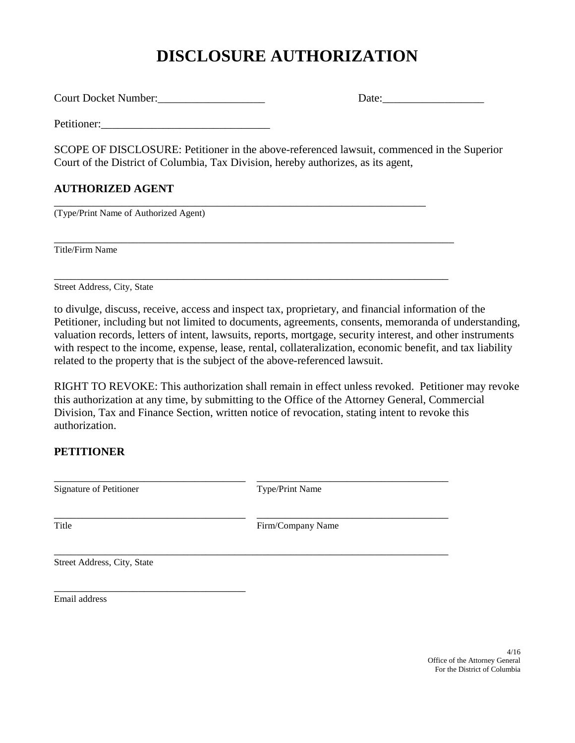# **DISCLOSURE AUTHORIZATION**

Court Docket Number:\_\_\_\_\_\_\_\_\_\_\_\_\_\_\_\_\_\_\_ Date:\_\_\_\_\_\_\_\_\_\_\_\_\_\_\_\_\_\_

Petitioner:

SCOPE OF DISCLOSURE: Petitioner in the above-referenced lawsuit, commenced in the Superior Court of the District of Columbia, Tax Division, hereby authorizes, as its agent,

\_\_\_\_\_\_\_\_\_\_\_\_\_\_\_\_\_\_\_\_\_\_\_\_\_\_\_\_\_\_\_\_\_\_\_\_\_\_\_\_\_\_\_\_\_\_\_\_\_\_\_\_\_\_\_\_\_\_\_\_\_\_\_\_\_\_\_\_\_\_\_

\_\_\_\_\_\_\_\_\_\_\_\_\_\_\_\_\_\_\_\_\_\_\_\_\_\_\_\_\_\_\_\_\_\_\_\_\_\_\_\_\_\_\_\_\_\_\_\_\_\_\_\_\_\_\_\_\_\_\_\_\_\_\_\_\_\_\_\_\_\_

## **AUTHORIZED AGENT**

\_\_\_\_\_\_\_\_\_\_\_\_\_\_\_\_\_\_\_\_\_\_\_\_\_\_\_\_\_\_\_\_\_\_\_\_\_\_\_\_\_\_\_\_\_\_\_\_\_\_\_\_\_\_\_\_\_\_\_\_\_\_\_\_\_\_ (Type/Print Name of Authorized Agent)

Title/Firm Name

Street Address, City, State

to divulge, discuss, receive, access and inspect tax, proprietary, and financial information of the Petitioner, including but not limited to documents, agreements, consents, memoranda of understanding, valuation records, letters of intent, lawsuits, reports, mortgage, security interest, and other instruments with respect to the income, expense, lease, rental, collateralization, economic benefit, and tax liability related to the property that is the subject of the above-referenced lawsuit.

RIGHT TO REVOKE: This authorization shall remain in effect unless revoked. Petitioner may revoke this authorization at any time, by submitting to the Office of the Attorney General, Commercial Division, Tax and Finance Section, written notice of revocation, stating intent to revoke this authorization.

### **PETITIONER**

Signature of Petitioner Type/Print Name

\_\_\_\_\_\_\_\_\_\_\_\_\_\_\_\_\_\_\_\_\_\_\_\_\_\_\_\_\_\_\_\_\_\_ \_\_\_\_\_\_\_\_\_\_\_\_\_\_\_\_\_\_\_\_\_\_\_\_\_\_\_\_\_\_\_\_\_\_

\_\_\_\_\_\_\_\_\_\_\_\_\_\_\_\_\_\_\_\_\_\_\_\_\_\_\_\_\_\_\_\_\_\_ \_\_\_\_\_\_\_\_\_\_\_\_\_\_\_\_\_\_\_\_\_\_\_\_\_\_\_\_\_\_\_\_\_\_

\_\_\_\_\_\_\_\_\_\_\_\_\_\_\_\_\_\_\_\_\_\_\_\_\_\_\_\_\_\_\_\_\_\_\_\_\_\_\_\_\_\_\_\_\_\_\_\_\_\_\_\_\_\_\_\_\_\_\_\_\_\_\_\_\_\_\_\_\_\_

Title Firm/Company Name

Street Address, City, State

\_\_\_\_\_\_\_\_\_\_\_\_\_\_\_\_\_\_\_\_\_\_\_\_\_\_\_\_\_\_\_\_\_\_

Email address

4/16 Office of the Attorney General For the District of Columbia